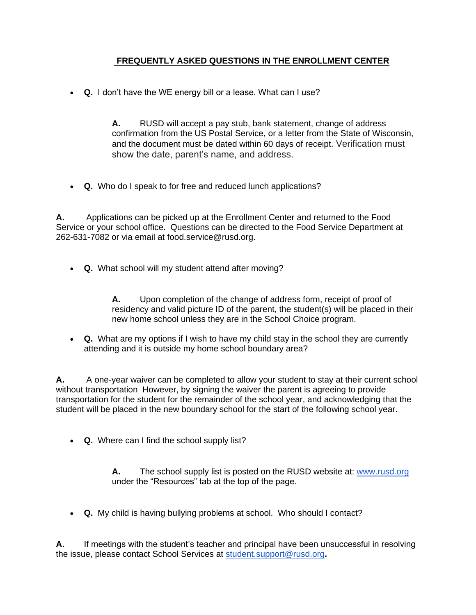## **FREQUENTLY ASKED QUESTIONS IN THE ENROLLMENT CENTER**

• **Q.** I don't have the WE energy bill or a lease. What can I use?

**A.** RUSD will accept a pay stub, bank statement, change of address confirmation from the US Postal Service, or a letter from the State of Wisconsin, and the document must be dated within 60 days of receipt. Verification must show the date, parent's name, and address.

• **Q.** Who do I speak to for free and reduced lunch applications?

**A.** Applications can be picked up at the Enrollment Center and returned to the Food Service or your school office. Questions can be directed to the Food Service Department at 262-631-7082 or via email at food.service@rusd.org.

• **Q.** What school will my student attend after moving?

**A.** Upon completion of the change of address form, receipt of proof of residency and valid picture ID of the parent, the student(s) will be placed in their new home school unless they are in the School Choice program.

• **Q.** What are my options if I wish to have my child stay in the school they are currently attending and it is outside my home school boundary area?

**A.** A one-year waiver can be completed to allow your student to stay at their current school without transportation However, by signing the waiver the parent is agreeing to provide transportation for the student for the remainder of the school year, and acknowledging that the student will be placed in the new boundary school for the start of the following school year.

• **Q.** Where can I find the school supply list?

**A.** The school supply list is posted on the RUSD website at: [www.rusd.org](http://www.rusd.org/) under the "Resources" tab at the top of the page.

• **Q.** My child is having bullying problems at school. Who should I contact?

**A.** If meetings with the student's teacher and principal have been unsuccessful in resolving the issue, please contact School Services at [student.support@rusd.org](mailto:student.support@rusd.org)**.**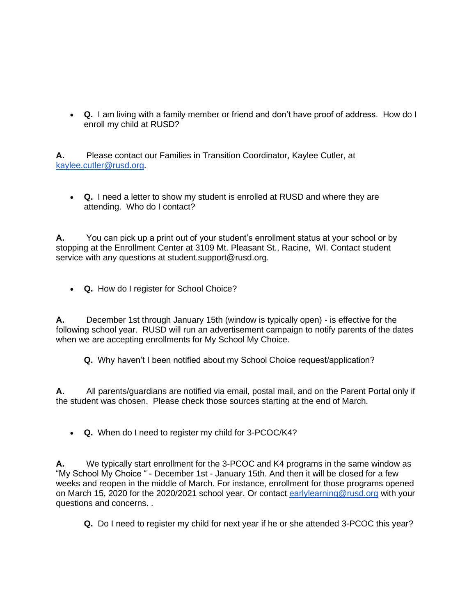• **Q.** I am living with a family member or friend and don't have proof of address. How do I enroll my child at RUSD?

**A.** Please contact our Families in Transition Coordinator, Kaylee Cutler, at [kaylee.cutler@rusd.org.](mailto:kaylee.cutler@rusd.org)

• **Q.** I need a letter to show my student is enrolled at RUSD and where they are attending. Who do I contact?

**A.** You can pick up a print out of your student's enrollment status at your school or by stopping at the Enrollment Center at 3109 Mt. Pleasant St., Racine, WI. Contact student service with any questions at student.support@rusd.org.

• **Q.** How do I register for School Choice?

**A.** December 1st through January 15th (window is typically open) - is effective for the following school year. RUSD will run an advertisement campaign to notify parents of the dates when we are accepting enrollments for My School My Choice.

**Q.** Why haven't I been notified about my School Choice request/application?

**A.** All parents/guardians are notified via email, postal mail, and on the Parent Portal only if the student was chosen. Please check those sources starting at the end of March.

• **Q.** When do I need to register my child for 3-PCOC/K4?

**A.** We typically start enrollment for the 3-PCOC and K4 programs in the same window as "My School My Choice " - December 1st - January 15th. And then it will be closed for a few weeks and reopen in the middle of March. For instance, enrollment for those programs opened on March 15, 2020 for the 2020/2021 school year. Or contact [earlylearning@rusd.org](mailto:earlylearning@rusd.org) with your questions and concerns. .

**Q.** Do I need to register my child for next year if he or she attended 3-PCOC this year?